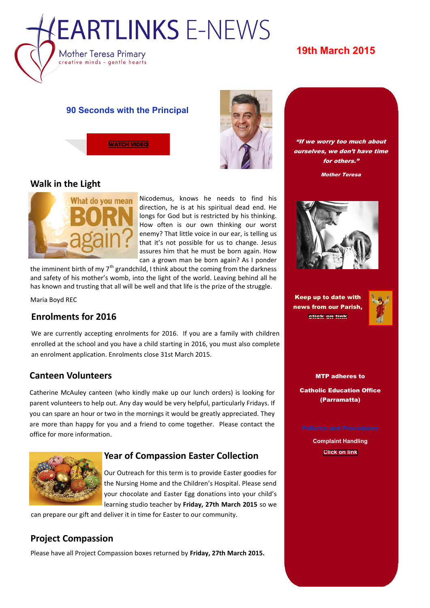

# **19th March 2015**

#### **90 Seconds with the Principal**



### **Walk in the Light**



Nicodemus, knows he needs to find his direction, he is at his spiritual dead end. He longs for God but is restricted by his thinking. How often is our own thinking our worst enemy? That little voice in our ear, is telling us that it's not possible for us to change. Jesus assures him that he must be born again. How can a grown man be born again? As I ponder

the imminent birth of my  $7<sup>th</sup>$  grandchild, I think about the coming from the darkness and safety of his mother's womb, into the light of the world. Leaving behind all he has known and trusting that all will be well and that life is the prize of the struggle.

Maria Boyd REC

### **Enrolments for 2016**

We are currently accepting enrolments for 2016. If you are a family with children enrolled at the school and you have a child starting in 2016, you must also complete an enrolment application. Enrolments close 31st March 2015.

### **Canteen Volunteers**

Catherine McAuley canteen (who kindly make up our lunch orders) is looking for parent volunteers to help out. Any day would be very helpful, particularly Fridays. If you can spare an hour or two in the mornings it would be greatly appreciated. They are more than happy for you and a friend to come together. Please contact the office for more information.



### **Year of Compassion Easter Collection**

Our Outreach for this term is to provide Easter goodies for the Nursing Home and the Children's Hospital. Please send your chocolate and Easter Egg donations into your child's learning studio teacher by **Friday, 27th March 2015** so we

can prepare our gift and deliver it in time for Easter to our community.

## **Project Compassion**

Please have all Project Compassion boxes returned by **Friday, 27th March 2015.**





**N E W S L E T T E R D A T E**

Mother Teresa



Keep up to date with news from our Parish, [click on link](http://www.sacredheartwestmead.com.au/UI/Main/Default.aspx)



MTP adheres to Catholic Education Office

(Parramatta)

**Complaint Handling [Click on link](http://www.motherteresawestmead.catholic.edu.au/SiteData/208/UserFiles/Policy/Complaint-Handling.pdf)**